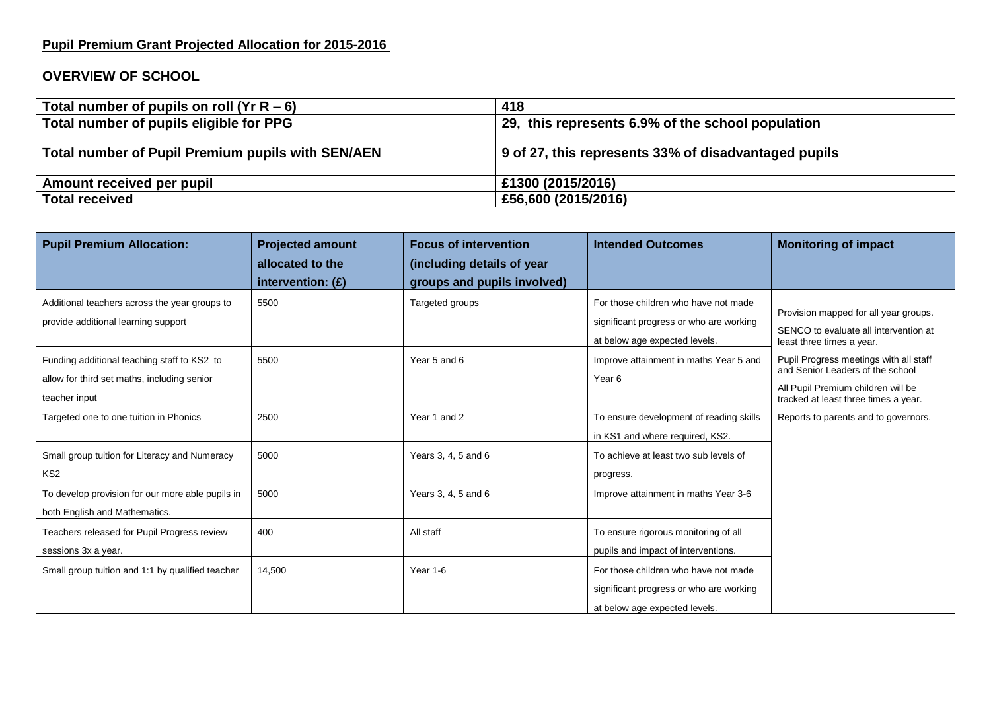## **Pupil Premium Grant Projected Allocation for 2015-2016**

## **OVERVIEW OF SCHOOL**

| Total number of pupils on roll (Yr R – 6)         | 418                                                  |  |  |
|---------------------------------------------------|------------------------------------------------------|--|--|
| Total number of pupils eligible for PPG           | 29, this represents 6.9% of the school population    |  |  |
|                                                   |                                                      |  |  |
| Total number of Pupil Premium pupils with SEN/AEN | 9 of 27, this represents 33% of disadvantaged pupils |  |  |
| Amount received per pupil                         | £1300 (2015/2016)                                    |  |  |
| <b>Total received</b>                             | £56,600 (2015/2016)                                  |  |  |

| <b>Pupil Premium Allocation:</b>                                                                            | <b>Projected amount</b><br>allocated to the | <b>Focus of intervention</b><br>(including details of year | <b>Intended Outcomes</b>                                                                                         | <b>Monitoring of impact</b>                                                                                                                              |
|-------------------------------------------------------------------------------------------------------------|---------------------------------------------|------------------------------------------------------------|------------------------------------------------------------------------------------------------------------------|----------------------------------------------------------------------------------------------------------------------------------------------------------|
|                                                                                                             | intervention: $(E)$                         | groups and pupils involved)                                |                                                                                                                  |                                                                                                                                                          |
| Additional teachers across the year groups to<br>provide additional learning support                        | 5500                                        | Targeted groups                                            | For those children who have not made<br>significant progress or who are working<br>at below age expected levels. | Provision mapped for all year groups.<br>SENCO to evaluate all intervention at<br>least three times a year.                                              |
| Funding additional teaching staff to KS2 to<br>allow for third set maths, including senior<br>teacher input | 5500                                        | Year 5 and 6                                               | Improve attainment in maths Year 5 and<br>Year 6                                                                 | Pupil Progress meetings with all staff<br>and Senior Leaders of the school<br>All Pupil Premium children will be<br>tracked at least three times a year. |
| Targeted one to one tuition in Phonics                                                                      | 2500                                        | Year 1 and 2                                               | To ensure development of reading skills<br>in KS1 and where required, KS2.                                       | Reports to parents and to governors.                                                                                                                     |
| Small group tuition for Literacy and Numeracy<br>KS <sub>2</sub>                                            | 5000                                        | Years 3, 4, 5 and 6                                        | To achieve at least two sub levels of<br>progress.                                                               |                                                                                                                                                          |
| To develop provision for our more able pupils in<br>both English and Mathematics.                           | 5000                                        | Years 3, 4, 5 and 6                                        | Improve attainment in maths Year 3-6                                                                             |                                                                                                                                                          |
| Teachers released for Pupil Progress review<br>sessions 3x a year.                                          | 400                                         | All staff                                                  | To ensure rigorous monitoring of all<br>pupils and impact of interventions.                                      |                                                                                                                                                          |
| Small group tuition and 1:1 by qualified teacher                                                            | 14,500                                      | Year 1-6                                                   | For those children who have not made<br>significant progress or who are working<br>at below age expected levels. |                                                                                                                                                          |